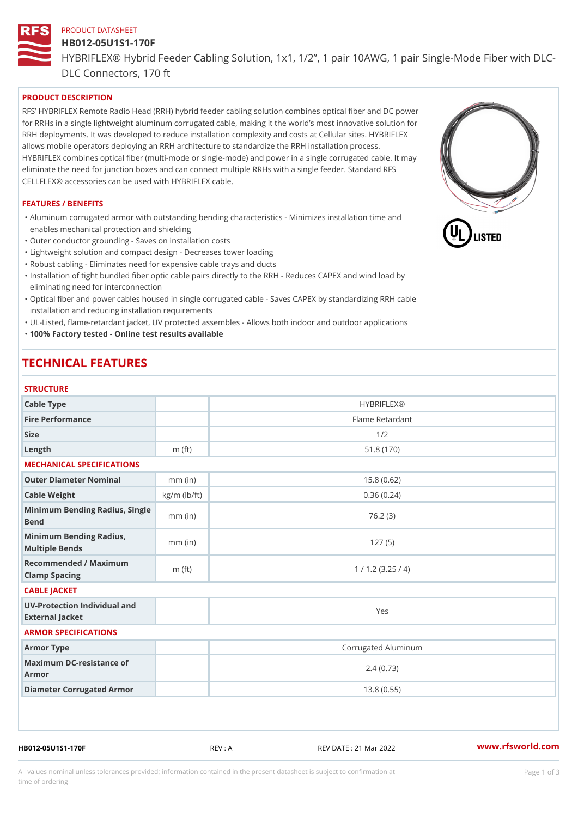# PRODUCT DATASHEET HB012-05U1S1-170F HYBRIFLEX® Hybrid Feeder Cabling Solution, 1x1, 1/2, 1 pair 10AWG, DLC Connectors, 170 ft

#### PRODUCT DESCRIPTION

RFS HYBRIFLEX Remote Radio Head (RRH) hybrid feeder cabling solution combines optical fiber and for RRHs in a single lightweight aluminum corrugated cable, making it the world s most innovative s RRH deployments. It was developed to reduce installation complexity and costs at Cellular sites. HY allows mobile operators deploying an RRH architecture to standardize the RRH installation process. HYBRIFLEX combines optical fiber (multi-mode or single-mode) and power in a single corrugated cal eliminate the need for junction boxes and can connect multiple RRHs with a single feeder. Standard CELLFLEX® accessories can be used with HYBRIFLEX cable.

#### FEATURES / BENEFITS

"Aluminum corrugated armor with outstanding bending characteristics - Minimizes installation time a enables mechanical protection and shielding

"Outer conductor grounding - Saves on installation costs

"Lightweight solution and compact design - Decreases tower loading

"Robust cabling - Eliminates need for expensive cable trays and ducts

"Installation of tight bundled fiber optic cable pairs directly to the RRH - Reduces CAPEX and wind eliminating need for interconnection

"Optical fiber and power cables housed in single corrugated cable – Saves CAPEX by standardiz|ng installation and reducing installation requirements

"UL-Listed, flame-retardant jacket, UV protected assembles - Allows both indoor and outdoor applic "100% Factory tested - Online test results available

## TECHNICAL FEATURES

#### STRUCTURE

| 3 1 N U U I U N L                                 |                    |                     |
|---------------------------------------------------|--------------------|---------------------|
| Cable Type                                        |                    | <b>HYBRIFLEX®</b>   |
| Fire Performance                                  |                    | Flame Retardant     |
| Size                                              |                    | 1/2                 |
| $L$ ength                                         | $m$ (ft)           | 51.8(170)           |
| MECHANICAL SPECIFICATIONS                         |                    |                     |
| Outer Diameter Nominal                            | $mm$ (in)          | 15.8(0.62)          |
| Cable Weight                                      | $kg/m$ ( $lb/ft$ ) | 0.36(0.24)          |
| Minimum Bending Radius, Single<br>Bend            |                    | 76.2(3)             |
| Minimum Bending Radius, mm (in)<br>Multiple Bends |                    | 127(5)              |
| Recommended / Maximum<br>Clamp Spacing            | $m$ (ft)           | 1 / 1.2 (3.25 / 4)  |
| CABLE JACKET                                      |                    |                     |
| UV-Protection Individual and<br>External Jacket   |                    | Yes                 |
| ARMOR SPECIFICATIONS                              |                    |                     |
| Armor Type                                        |                    | Corrugated Aluminum |
| Maximum DC-resistance of<br>Armor                 |                    | 2.4(0.73)           |
| Diameter Corrugated Armor                         |                    | 13.8(0.55)          |
|                                                   |                    |                     |

HB012-05U1S1-170F REV : A REV DATE : 21 Mar 2022 [www.](https://www.rfsworld.com)rfsworld.com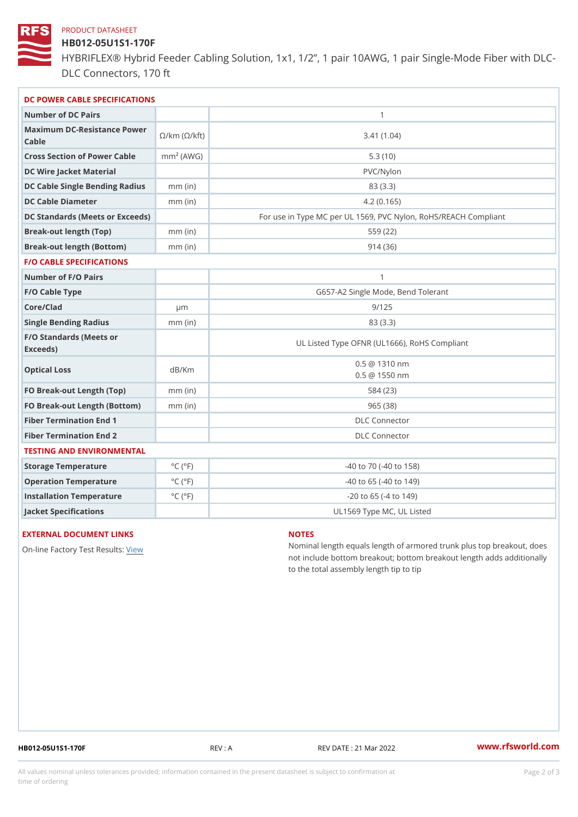#### PRODUCT DATASHEET

### HB012-05U1S1-170F

HYBRIFLEX® Hybrid Feeder Cabling Solution, 1x1, 1/2, 1 pair 10AWG, DLC Connectors, 170 ft

| DC POWER CABLE SPECIFICATIONS                                                                                                |                             |                                                      |
|------------------------------------------------------------------------------------------------------------------------------|-----------------------------|------------------------------------------------------|
| Number of DC Pairs                                                                                                           |                             | $\mathbf{1}$                                         |
| Maximum DC-Resistance $\bigotimes_{k=m}^{\infty}$ ( $\bigotimes_{k=m}^{\infty}$ /km ( $\bigotimes_{k=m}^{\infty}$ )<br>Cable |                             | 3.41(1.04)                                           |
| Cross Section of Power Cnamb Pe (A W G)                                                                                      |                             | 5.3(10)                                              |
| DC Wire Jacket Material                                                                                                      |                             | $PVC/Ny$ lon                                         |
| DC Cable Single Bending Rhandi(uish)                                                                                         |                             | 83 (3.3)                                             |
| DC Cable Diameter                                                                                                            | $mm$ (in)                   | 4.2(0.165)                                           |
| DC Standards (Meets or Exceeds)                                                                                              |                             | For use in Type MC per UL 1569, PVC Nylon, RoHS/REAC |
| Break-out length (Top)                                                                                                       | $mm$ (in)                   | 559 (22)                                             |
| Break-out length (Bottom) mm (in)                                                                                            |                             | 914(36)                                              |
| <b>F/O CABLE SPECIFICATIONS</b>                                                                                              |                             |                                                      |
| Number of F/O Pairs                                                                                                          |                             | $\mathbf{1}$                                         |
| F/O Cable Type                                                                                                               |                             | G657-A2 Single Mode, Bend Tolerant                   |
| Core/Clad                                                                                                                    | $\mu$ m                     | 9/125                                                |
| Single Bending Radius                                                                                                        | $mm$ (in)                   | 83 (3.3)                                             |
| F/O Standards (Meets or<br>Exceeds)                                                                                          |                             | UL Listed Type OFNR (UL1666), RoHS Compliant         |
| Optical Loss                                                                                                                 | dB/Km                       | $0.5 \ @ \ 1310 \ nm$<br>$0.5 \t@ 1550 nm$           |
| FO Break-out Length (Top)mm (in)                                                                                             |                             | 584 (23)                                             |
| FO Break-out Length (Bottomm) (in)                                                                                           |                             | 965(38)                                              |
| Fiber Termination End                                                                                                        |                             | <b>DLC</b> Connector                                 |
| Fiber Termination End 2                                                                                                      |                             | <b>DLC</b> Connector                                 |
| TESTING AND ENVIRONMENTAL                                                                                                    |                             |                                                      |
| Storage Temperature                                                                                                          | $^{\circ}$ C ( $^{\circ}$ F | $-40$ to $70$ ( $-40$ to $158$ )                     |
| Operation Temperature                                                                                                        | $^{\circ}$ C ( $^{\circ}$ F | $-40$ to $65$ ( $-40$ to $149$ )                     |
| Installation Temperature                                                                                                     | $^{\circ}$ C ( $^{\circ}$ F | $-20$ to 65 ( $-4$ to 149)                           |
| Jacket Specifications                                                                                                        |                             | UL1569 Type MC, UL Listed                            |

### EXTERNAL DOCUMENT LINKS

On-line Factory Te[s](https://www.rfsworld.com/pictures/userfiles/programs/AAST Latest Version.zip)teRvesults:

#### NOTES

Nominal length equals length of armored trunk plus not include bottom breakout; bottom breakout length to the total assembly length tip to tip

HB012-05U1S1-170F REV : A REV DATE : 21 Mar 2022 [www.](https://www.rfsworld.com)rfsworld.com